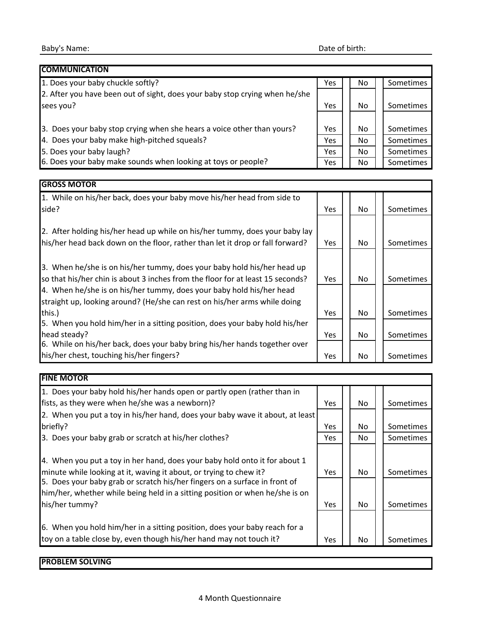| <b>COMMUNICATION</b>                                                        |     |     |                  |
|-----------------------------------------------------------------------------|-----|-----|------------------|
| 1. Does your baby chuckle softly?                                           | Yes | No  | <b>Sometimes</b> |
| 2. After you have been out of sight, does your baby stop crying when he/she |     |     |                  |
| sees you?                                                                   | Yes | No  | <b>Sometimes</b> |
|                                                                             |     |     |                  |
| 3. Does your baby stop crying when she hears a voice other than yours?      | Yes | No. | Sometimes        |
| 4. Does your baby make high-pitched squeals?                                | Yes | No. | Sometimes        |
| 5. Does your baby laugh?                                                    | Yes | No  | Sometimes        |
| 6. Does your baby make sounds when looking at toys or people?               | Yes | No  | <b>Sometimes</b> |

## **GROSS MOTOR**

| 1. While on his/her back, does your baby move his/her head from side to<br>side? | <b>Yes</b> | No | Sometimes |
|----------------------------------------------------------------------------------|------------|----|-----------|
|                                                                                  |            |    |           |
| 2. After holding his/her head up while on his/her tummy, does your baby lay      |            |    |           |
| his/her head back down on the floor, rather than let it drop or fall forward?    | <b>Yes</b> | No | Sometimes |
|                                                                                  |            |    |           |
| 3. When he/she is on his/her tummy, does your baby hold his/her head up          |            |    |           |
| so that his/her chin is about 3 inches from the floor for at least 15 seconds?   | Yes        | No | Sometimes |
| 4. When he/she is on his/her tummy, does your baby hold his/her head             |            |    |           |
| straight up, looking around? (He/she can rest on his/her arms while doing        |            |    |           |
| this.)                                                                           | Yes        | No | Sometimes |
| 5. When you hold him/her in a sitting position, does your baby hold his/her      |            |    |           |
| head steady?                                                                     | <b>Yes</b> | No | Sometimes |
| 6. While on his/her back, does your baby bring his/her hands together over       |            |    |           |
| his/her chest, touching his/her fingers?                                         | Yes        | No | Sometimes |

| <b>FINE MOTOR</b>                                                                                                                                                                                                              |            |                |                  |
|--------------------------------------------------------------------------------------------------------------------------------------------------------------------------------------------------------------------------------|------------|----------------|------------------|
| 1. Does your baby hold his/her hands open or partly open (rather than in                                                                                                                                                       |            |                |                  |
| fists, as they were when he/she was a newborn)?                                                                                                                                                                                | <b>Yes</b> | No             | Sometimes        |
| [2. When you put a toy in his/her hand, does your baby wave it about, at least                                                                                                                                                 |            |                |                  |
| briefly?                                                                                                                                                                                                                       | Yes.       | No.            | Sometimes        |
| 3. Does your baby grab or scratch at his/her clothes?                                                                                                                                                                          | <b>Yes</b> | No.            | Sometimes        |
| 4. When you put a toy in her hand, does your baby hold onto it for about 1<br>minute while looking at it, waving it about, or trying to chew it?<br>5. Does your baby grab or scratch his/her fingers on a surface in front of | Yes.       | No.            | <b>Sometimes</b> |
| him/her, whether while being held in a sitting position or when he/she is on<br>his/her tummy?                                                                                                                                 | <b>Yes</b> | N <sub>o</sub> | <b>Sometimes</b> |
| 6. When you hold him/her in a sitting position, does your baby reach for a<br>toy on a table close by, even though his/her hand may not touch it?                                                                              | <b>Yes</b> | No             | <b>Sometimes</b> |

## **PROBLEM SOLVING**